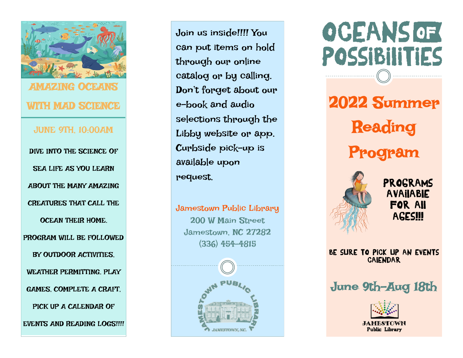

Join us inside!!!! You can put items on hold through our online catalog or by calling. Don't forget about our e-book and audio selections through the Libby website or app. Curbside pick-up is available upon request.

Jamestown Public Library 200 W Main Street Jamestown, NC 27282 (336) 454-4815



**OCEANS OF** POSSIBIliTIES 2022 Summer Reading Program



Programs available for all **AGES!!!** 

Be sure to pick up an events calendar

June 9th-Aug 18th